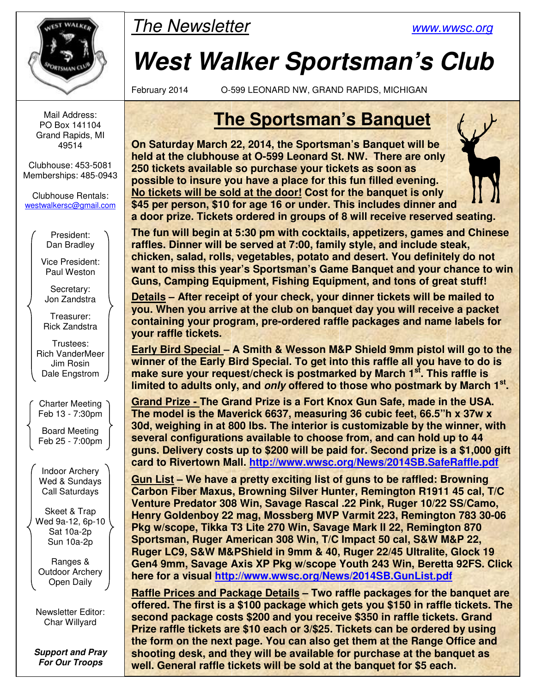

Mail Address: PO Box 141104 Grand Rapids, MI 49514

Clubhouse: 453-5081 Memberships: 485-0943

Clubhouse Rentals: westwalkersc@gmail.com

> President: Dan Bradley

Vice President: Paul Weston

Secretary: Jon Zandstra

Treasurer: Rick Zandstra

Trustees: Rich VanderMeer Jim Rosin Dale Engstrom

Charter Meeting Feb 13 - 7:30pm

Board Meeting Feb 25 - 7:00pm

Indoor Archery Wed & Sundays Call Saturdays

Skeet & Trap Wed 9a-12, 6p-10 Sat 10a-2p Sun 10a-2p

Ranges & Outdoor Archery Open Daily

Newsletter Editor: Char Willyard

**Support and Pray For Our Troops** 

# The Newsletter www.wwsc.org

# **West Walker Sportsman's Club**

February 2014 O-599 LEONARD NW, GRAND RAPIDS, MICHIGAN

# **The Sportsman's Banquet**

**On Saturday March 22, 2014, the Sportsman's Banquet will be held at the clubhouse at O-599 Leonard St. NW. There are only 250 tickets available so purchase your tickets as soon as possible to insure you have a place for this fun filled evening. No tickets will be sold at the door! Cost for the banquet is only \$45 per person, \$10 for age 16 or under. This includes dinner and a door prize. Tickets ordered in groups of 8 will receive reserved seating.** 

**The fun will begin at 5:30 pm with cocktails, appetizers, games and Chinese raffles. Dinner will be served at 7:00, family style, and include steak, chicken, salad, rolls, vegetables, potato and desert. You definitely do not want to miss this year's Sportsman's Game Banquet and your chance to win Guns, Camping Equipment, Fishing Equipment, and tons of great stuff!** 

**Details – After receipt of your check, your dinner tickets will be mailed to you. When you arrive at the club on banquet day you will receive a packet containing your program, pre-ordered raffle packages and name labels for your raffle tickets.** 

**Early Bird Special – A Smith & Wesson M&P Shield 9mm pistol will go to the winner of the Early Bird Special. To get into this raffle all you have to do is make sure your request/check is postmarked by March 1st. This raffle is limited to adults only, and only offered to those who postmark by March 1st .** 

**Grand Prize - The Grand Prize is a Fort Knox Gun Safe, made in the USA. The model is the Maverick 6637, measuring 36 cubic feet, 66.5"h x 37w x 30d, weighing in at 800 lbs. The interior is customizable by the winner, with several configurations available to choose from, and can hold up to 44 guns. Delivery costs up to \$200 will be paid for. Second prize is a \$1,000 gift card to Rivertown Mall. http://www.wwsc.org/News/2014SB.SafeRaffle.pdf**

**Gun List – We have a pretty exciting list of guns to be raffled: Browning Carbon Fiber Maxus, Browning Silver Hunter, Remington R1911 45 cal, T/C Venture Predator 308 Win, Savage Rascal .22 Pink, Ruger 10/22 SS/Camo, Henry Goldenboy 22 mag, Mossberg MVP Varmit 223, Remington 783 30-06 Pkg w/scope, Tikka T3 Lite 270 Win, Savage Mark II 22, Remington 870 Sportsman, Ruger American 308 Win, T/C Impact 50 cal, S&W M&P 22, Ruger LC9, S&W M&PShield in 9mm & 40, Ruger 22/45 Ultralite, Glock 19 Gen4 9mm, Savage Axis XP Pkg w/scope Youth 243 Win, Beretta 92FS. Click here for a visual http://www.wwsc.org/News/2014SB.GunList.pdf**

**Raffle Prices and Package Details – Two raffle packages for the banquet are offered. The first is a \$100 package which gets you \$150 in raffle tickets. The second package costs \$200 and you receive \$350 in raffle tickets. Grand Prize raffle tickets are \$10 each or 3/\$25. Tickets can be ordered by using the form on the next page. You can also get them at the Range Office and shooting desk, and they will be available for purchase at the banquet as well. General raffle tickets will be sold at the banquet for \$5 each.**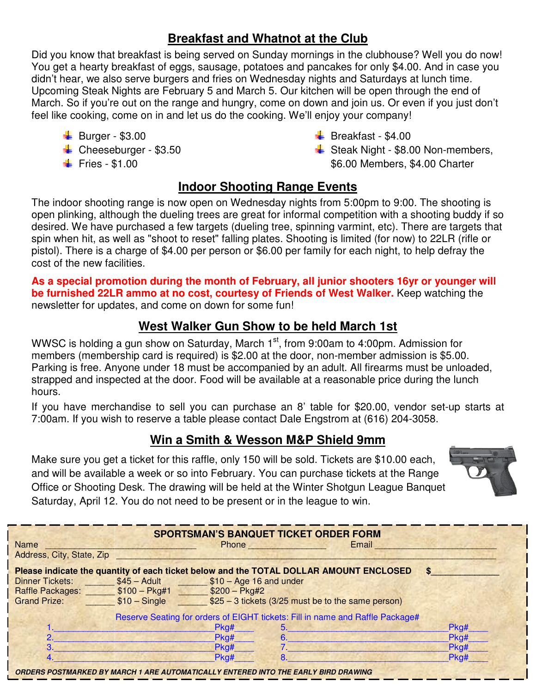#### **Breakfast and Whatnot at the Club**

Did you know that breakfast is being served on Sunday mornings in the clubhouse? Well you do now! You get a hearty breakfast of eggs, sausage, potatoes and pancakes for only \$4.00. And in case you didn't hear, we also serve burgers and fries on Wednesday nights and Saturdays at lunch time. Upcoming Steak Nights are February 5 and March 5. Our kitchen will be open through the end of March. So if you're out on the range and hungry, come on down and join us. Or even if you just don't feel like cooking, come on in and let us do the cooking. We'll enjoy your company!

- $\overline{\phantom{0}}$  Burger \$3.00
- $\leftarrow$  Cheeseburger \$3.50
- $\text{Fries} \$1.00$
- $\overline{\phantom{A}}$  Breakfast \$4.00
- $\frac{1}{2}$  Steak Night \$8.00 Non-members, \$6.00 Members, \$4.00 Charter

#### **Indoor Shooting Range Events**

The indoor shooting range is now open on Wednesday nights from 5:00pm to 9:00. The shooting is open plinking, although the dueling trees are great for informal competition with a shooting buddy if so desired. We have purchased a few targets (dueling tree, spinning varmint, etc). There are targets that spin when hit, as well as "shoot to reset" falling plates. Shooting is limited (for now) to 22LR (rifle or pistol). There is a charge of \$4.00 per person or \$6.00 per family for each night, to help defray the cost of the new facilities.

**As a special promotion during the month of February, all junior shooters 16yr or younger will be furnished 22LR ammo at no cost, courtesy of Friends of West Walker.** Keep watching the newsletter for updates, and come on down for some fun!

#### **West Walker Gun Show to be held March 1st**

WWSC is holding a gun show on Saturday, March  $1<sup>st</sup>$ , from 9:00am to 4:00pm. Admission for members (membership card is required) is \$2.00 at the door, non-member admission is \$5.00. Parking is free. Anyone under 18 must be accompanied by an adult. All firearms must be unloaded, strapped and inspected at the door. Food will be available at a reasonable price during the lunch hours.

If you have merchandise to sell you can purchase an 8' table for \$20.00, vendor set-up starts at 7:00am. If you wish to reserve a table please contact Dale Engstrom at (616) 204-3058.

#### **Win a Smith & Wesson M&P Shield 9mm**

Make sure you get a ticket for this raffle, only 150 will be sold. Tickets are \$10.00 each, and will be available a week or so into February. You can purchase tickets at the Range Office or Shooting Desk. The drawing will be held at the Winter Shotgun League Banquet Saturday, April 12. You do not need to be present or in the league to win.



| <b>Name</b><br>Address, City, State, Zip                                                               |                                                                    |      | <b>SPORTSMAN'S BANQUET TICKET ORDER FORM</b><br>Phone <b>Property</b> | Email |      |  |  |  |  |  |
|--------------------------------------------------------------------------------------------------------|--------------------------------------------------------------------|------|-----------------------------------------------------------------------|-------|------|--|--|--|--|--|
| Please indicate the quantity of each ticket below and the TOTAL DOLLAR AMOUNT ENCLOSED<br><sub>S</sub> |                                                                    |      |                                                                       |       |      |  |  |  |  |  |
| <b>Dinner Tickets:</b>                                                                                 | $$45 - Adult$ $$10 - Age 16 and under$                             |      |                                                                       |       |      |  |  |  |  |  |
| Raffle Packages: \$100 - Pkg#1 \$200 - Pkg#2                                                           |                                                                    |      |                                                                       |       |      |  |  |  |  |  |
| <b>Grand Prize:</b>                                                                                    | $$10 - Single$ $$25 - 3$ tickets (3/25 must be to the same person) |      |                                                                       |       |      |  |  |  |  |  |
| Reserve Seating for orders of EIGHT tickets: Fill in name and Raffle Package#                          |                                                                    |      |                                                                       |       |      |  |  |  |  |  |
|                                                                                                        |                                                                    | Pkg# | 5.                                                                    |       | Pkg# |  |  |  |  |  |
| 2.                                                                                                     |                                                                    | Pkg# | 6.                                                                    |       | Pkg# |  |  |  |  |  |
| $\mathbf{R}$                                                                                           |                                                                    | Pkg# |                                                                       |       | Pkg# |  |  |  |  |  |
|                                                                                                        |                                                                    | Pkg# | 8.                                                                    |       | Pkg# |  |  |  |  |  |
| ORDERS POSTMARKED BY MARCH 1 ARE AUTOMATICALLY ENTERED INTO THE EARLY BIRD DRAWING                     |                                                                    |      |                                                                       |       |      |  |  |  |  |  |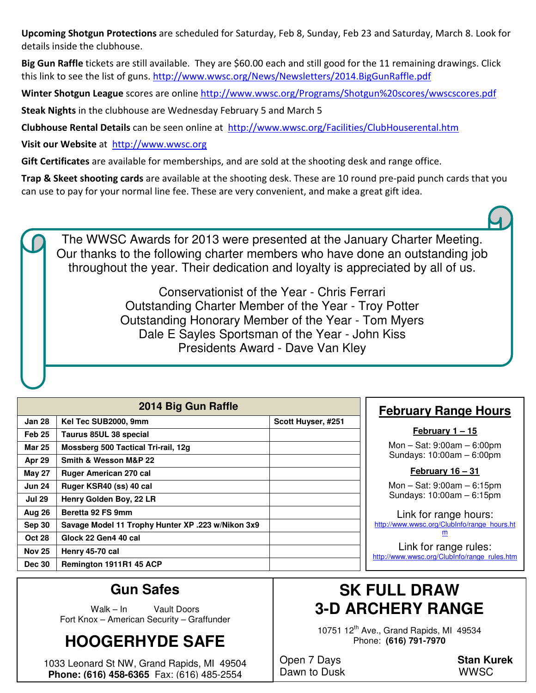**Upcoming Shotgun Protections** are scheduled for Saturday, Feb 8, Sunday, Feb 23 and Saturday, March 8. Look for details inside the clubhouse.

**Big Gun Raffle** tickets are still available. They are \$60.00 each and still good for the 11 remaining drawings. Click this link to see the list of guns. http://www.wwsc.org/News/Newsletters/2014.BigGunRaffle.pdf

**Winter Shotgun League** scores are online http://www.wwsc.org/Programs/Shotgun%20scores/wwscscores.pdf

**Steak Nights** in the clubhouse are Wednesday February 5 and March 5

**Clubhouse Rental Details** can be seen online at http://www.wwsc.org/Facilities/ClubHouserental.htm

**Visit our Website** at http://www.wwsc.org

**Gift Certificates** are available for memberships, and are sold at the shooting desk and range office.

**Trap & Skeet shooting cards** are available at the shooting desk. These are 10 round pre-paid punch cards that you can use to pay for your normal line fee. These are very convenient, and make a great gift idea.

The WWSC Awards for 2013 were presented at the January Charter Meeting. Our thanks to the following charter members who have done an outstanding job throughout the year. Their dedication and loyalty is appreciated by all of us.

> Conservationist of the Year - Chris Ferrari Outstanding Charter Member of the Year - Troy Potter Outstanding Honorary Member of the Year - Tom Myers Dale E Sayles Sportsman of the Year - John Kiss Presidents Award - Dave Van Kley

| 2014 Big Gun Raffle |                                                   |                    |  |  |  |  |
|---------------------|---------------------------------------------------|--------------------|--|--|--|--|
| Jan 28              | Kel Tec SUB2000, 9mm                              | Scott Huyser, #251 |  |  |  |  |
| Feb <sub>25</sub>   | Taurus 85UL 38 special                            |                    |  |  |  |  |
| <b>Mar 25</b>       | Mossberg 500 Tactical Tri-rail, 12g               |                    |  |  |  |  |
| Apr 29              | Smith & Wesson M&P 22                             |                    |  |  |  |  |
| <b>May 27</b>       | <b>Ruger American 270 cal</b>                     |                    |  |  |  |  |
| <b>Jun 24</b>       | Ruger KSR40 (ss) 40 cal                           |                    |  |  |  |  |
| <b>Jul 29</b>       | Henry Golden Boy, 22 LR                           |                    |  |  |  |  |
| Aug 26              | Beretta 92 FS 9mm                                 |                    |  |  |  |  |
| <b>Sep 30</b>       | Savage Model 11 Trophy Hunter XP .223 w/Nikon 3x9 |                    |  |  |  |  |
| <b>Oct 28</b>       | Glock 22 Gen4 40 cal                              |                    |  |  |  |  |
| <b>Nov 25</b>       | Henry 45-70 cal                                   |                    |  |  |  |  |
| <b>Dec 30</b>       | Remington 1911R1 45 ACP                           |                    |  |  |  |  |

#### **February Range Hours**

**February 1 – 15**

Mon – Sat: 9:00am – 6:00pm Sundays: 10:00am – 6:00pm

**February 16 – 31**

Mon – Sat: 9:00am – 6:15pm Sundays: 10:00am – 6:15pm

Link for range hours: http://www.wwsc.org/ClubInfo/range\_hours.ht m Link for range rules:

http://www.wwsc.org/ClubInfo/range\_rules.htm

### **Gun Safes**

Walk – In Vault Doors Fort Knox – American Security – Graffunder

### **HOOGERHYDE SAFE**

1033 Leonard St NW, Grand Rapids, MI 49504 **Phone: (616) 458-6365** Fax: (616) 485-2554

### **SK FULL DRAW 3-D ARCHERY RANGE**

10751 12<sup>th</sup> Ave., Grand Rapids, MI 49534 Phone: **(616) 791-7970** 

Open 7 Days **Stan Kurek** Dawn to Dusk WWSC